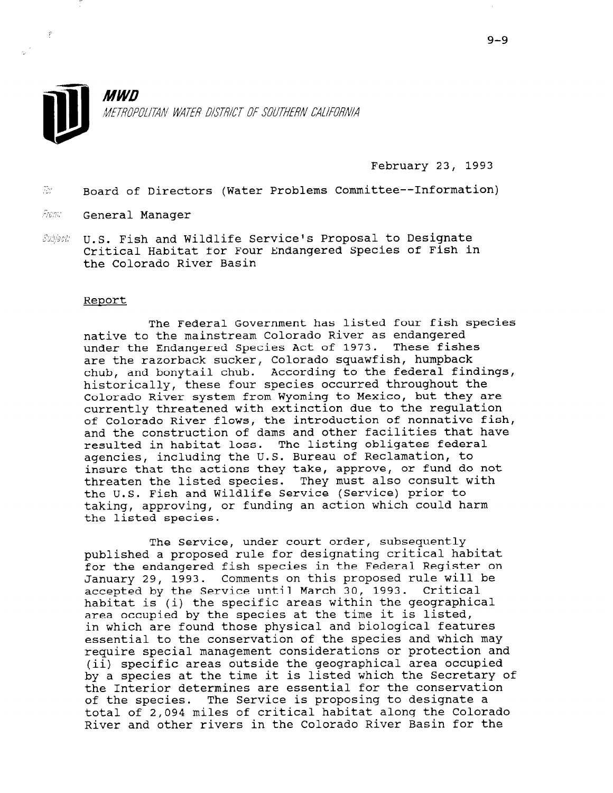

February 23, 1993

 $\tilde{z}$  Board of Directors (Water Problems Committee--Information)

from: General Manager

 $\hat{\mathcal{E}}$ 

 $\mathcal{S}$ uhjest U.S. Fish and Wildlife Service's Proposal to Designate Critical Habitat for Four Endangered Species of Fish in the Colorado River Basin

## Report

The Federal Government has listed four fish species native to the mainstream Colorado River as endangered under the Endangered Species Act of 1973. These fishes are the razorback sucker, Colorado squawfish, humpback chub, and bonytail chub. According to the federal findings, historically, these four species occurred throughout the Colorado River system from Wyoming to Mexico, but they are currently threatened with extinction due to the regulation of Colorado River flows, the introduction of nonnative fish, and the construction of dams and other facilities that have resulted in habitat loss. The listing obligates federal agencies, including the U.S. Bureau of Reclamation, to insure that the actions they take, approve, or fund do not threaten the listed species. They must also consult with the U.S. Fish and Wildlife Service (Service) prior to taking, approving, or funding an action which could harm the listed species.

The Service, under court order, subsequently published a proposed rule for designating critical habitat for the endangered fish species in the Federal Register on January 29, 1993. Comments on this proposed rule will be accepted by the Service until March 30, 1993. Critical determined by the specific areas within the geographical specific areas within the geographical  $\frac{1}{2}$  are  $\frac{1}{2}$  by the specific at the time it is list. area occupied by the species at the time it is listed,<br>in which are found those physical and biological features essential to the conservation of the species and which may  $r_{\rm c}$  required to the conservation and protections and which and (equite special management considerations of procedurement) (ii) specific areas outside the geographical area occupied<br>by a species at the time it is listed which the Secretary of by a species at the time it is fisted which the secret the interior determines are essential for the conservative of the species. The service is proposing to designate a River of 2,094 miles of critical mapliar along the Corola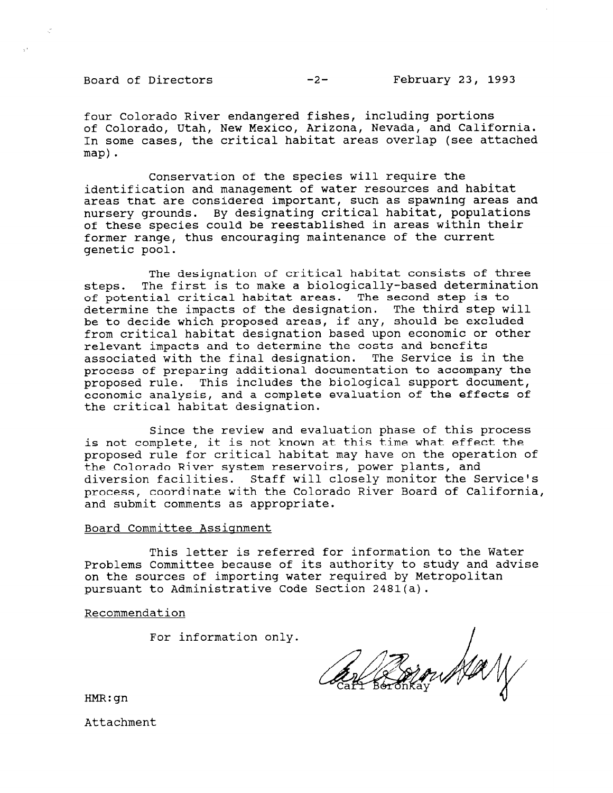four Colorado River endangered fishes, including portions of Colorado, Utah, New Mexico, Arizona, Nevada, and California. In some cases, the critical habitat areas overlap (see attached map).

Conservation of the species will require the identification and management of water resources and habitat areas that are considered important, such as spawning areas and nursery grounds. By designating critical habitat, populations of these species could be reestablished in areas within their former range, thus encouraging maintenance of the current genetic pool.

The designation of critical habitat consists of three steps. The first is to make a biologically-based determination of potential critical habitat areas. The second step is to determine the impacts of the designation. The third step will be to decide which proposed areas, if any, should be excluded from critical habitat designation based upon economic or other relevant impacts and to determine the costs and benefits associated with the final designation. The Service is in the process of preparing additional documentation to accompany the proposed rule. This includes the biological support document, economic analysis, and a complete evaluation of the effects of the critical habitat designation.

Since the review and evaluation phase of this process is not complete, it is not known at this time what effect the proposed rule for critical habitat may have on the operation of the Colorado River system reservoirs, power plants, and diversion facilities. Staff will closely monitor the Service's process, coordinate with the Colorado River Board of California, and submit comments as appropriate.

## Board Committee Assiqnment

This letter is referred for information to the Water Problems Committee because of its authority to study and advise on the sources of importing water required by Metropolitan pursuant to Administrative Code Section 2481(a).

Recommendation

For information only.

May

HMR:gn

Attachment